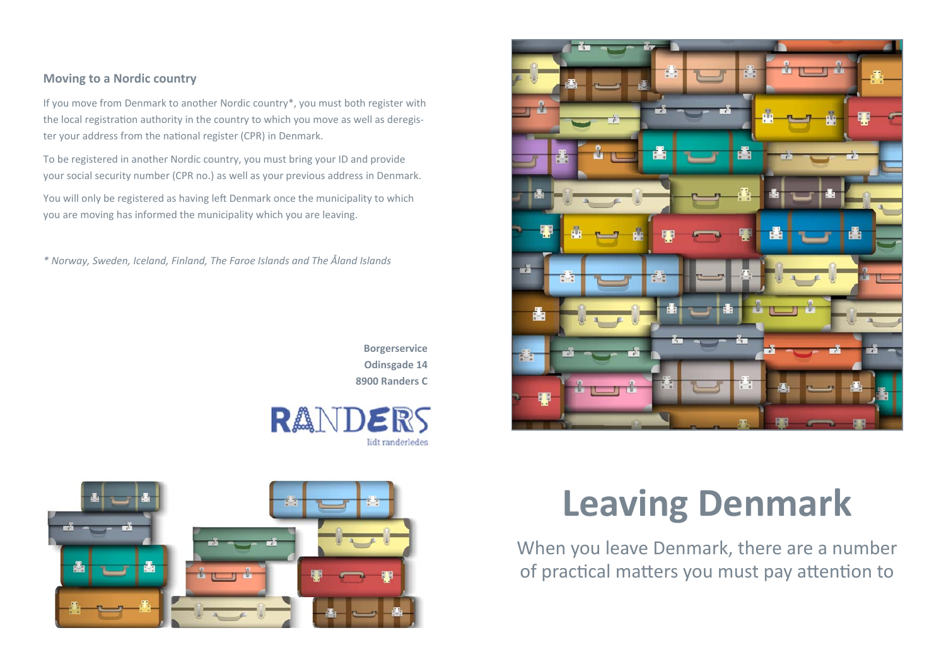## **Moving to <sup>a</sup> Nordic country**

If you move from Denmark to another Nordic country\*, you must both register with the local registration authority in the country to which you move as well as deregister your address from the national register (CPR) in Denmark.

To be registered in another Nordic country, you must bring your ID and provide your social security number (CPR no.) as well as your previous address in Denmark.

You will only be registered as having left Denmark once the municipality to which you are moving has informed the municipality which you are leaving.

*\* Norway, Sweden, Iceland, Finland, The Faroe Islands and The Åland Islands*

**Borgerservice Odinsgade 14 8900 Randers C**







# **Leaving Denmark**

When you leave Denmark, there are a number of practical matters you must pay attention to